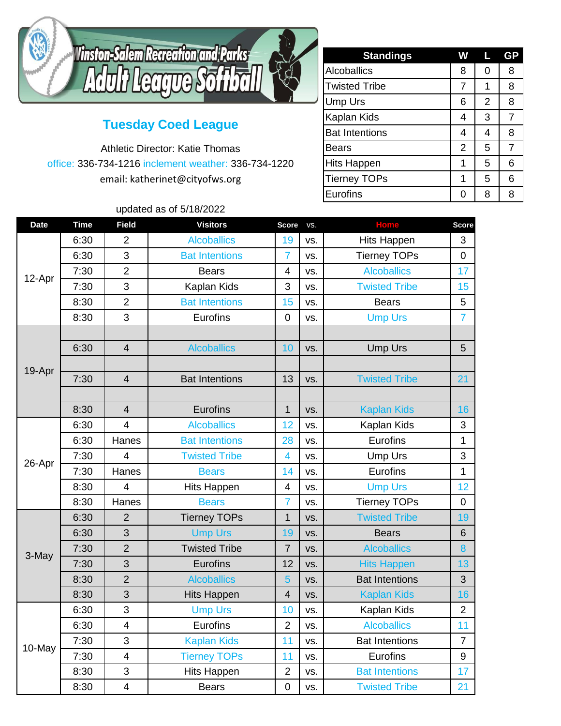

## **Tuesday Coed League**

Athletic Director: Katie Thomas office: 336-734-1216 inclement weather: 336-734-1220 email: katherinet@cityofws.org

**Standings W L GP** Alcoballics 8 0 8 Twisted Tribe 7 | 7 | 1 | 8 Ump Urs 6 2 8 Kaplan Kids  $\begin{array}{|c|c|c|c|c|c|}\n\hline\n& 4 & 3 & 7\n\end{array}$ Bat Intentions 4 4 8 Bears  $\begin{array}{ccc} \vert & 2 & 5 & 7 \end{array}$ Hits Happen 1 5 6 Tierney TOPs 1 5 6 Eurofins 0 8 8

## updated as of 5/18/2022

| <b>Date</b> | <b>Time</b> | <b>Field</b>            | <b>Visitors</b>       | <b>Score</b>            | VS. | <b>Home</b>           | <b>Score</b>   |
|-------------|-------------|-------------------------|-----------------------|-------------------------|-----|-----------------------|----------------|
| 12-Apr      | 6:30        | $\overline{2}$          | <b>Alcoballics</b>    | 19                      | VS. | <b>Hits Happen</b>    | 3              |
|             | 6:30        | 3                       | <b>Bat Intentions</b> | $\overline{7}$          | VS. | <b>Tierney TOPs</b>   | $\mathbf 0$    |
|             | 7:30        | $\overline{2}$          | <b>Bears</b>          | $\overline{\mathbf{4}}$ | VS. | <b>Alcoballics</b>    | 17             |
|             | 7:30        | 3                       | Kaplan Kids           | 3                       | VS. | <b>Twisted Tribe</b>  | 15             |
|             | 8:30        | $\overline{2}$          | <b>Bat Intentions</b> | 15                      | VS. | <b>Bears</b>          | 5              |
|             | 8:30        | 3                       | Eurofins              | 0                       | VS. | <b>Ump Urs</b>        | $\overline{7}$ |
| 19-Apr      |             |                         |                       |                         |     |                       |                |
|             | 6:30        | $\overline{4}$          | <b>Alcoballics</b>    | 10                      | VS. | <b>Ump Urs</b>        | 5              |
|             |             |                         |                       |                         |     |                       |                |
|             | 7:30        | $\overline{4}$          | <b>Bat Intentions</b> | 13                      | VS. | <b>Twisted Tribe</b>  | 21             |
|             |             |                         |                       |                         |     |                       |                |
|             | 8:30        | $\overline{4}$          | Eurofins              | $\overline{1}$          | VS. | <b>Kaplan Kids</b>    | 16             |
| 26-Apr      | 6:30        | 4                       | <b>Alcoballics</b>    | 12                      | VS. | Kaplan Kids           | 3              |
|             | 6:30        | Hanes                   | <b>Bat Intentions</b> | 28                      | VS. | Eurofins              | 1              |
|             | 7:30        | $\overline{4}$          | <b>Twisted Tribe</b>  | $\overline{\mathbf{4}}$ | VS. | <b>Ump Urs</b>        | 3              |
|             | 7:30        | Hanes                   | <b>Bears</b>          | 14                      | VS. | Eurofins              | 1              |
|             | 8:30        | $\overline{4}$          | <b>Hits Happen</b>    | $\overline{4}$          | VS. | <b>Ump Urs</b>        | 12             |
|             | 8:30        | Hanes                   | <b>Bears</b>          | $\overline{7}$          | VS. | <b>Tierney TOPs</b>   | $\mathbf 0$    |
| 3-May       | 6:30        | $\overline{2}$          | <b>Tierney TOPs</b>   | $\overline{1}$          | VS. | <b>Twisted Tribe</b>  | 19             |
|             | 6:30        | 3                       | <b>Ump Urs</b>        | 19                      | VS. | <b>Bears</b>          | 6              |
|             | 7:30        | $\overline{2}$          | <b>Twisted Tribe</b>  | $\overline{7}$          | VS. | <b>Alcoballics</b>    | 8              |
|             | 7:30        | 3                       | Eurofins              | 12                      | VS. | <b>Hits Happen</b>    | 13             |
|             | 8:30        | $\overline{2}$          | <b>Alcoballics</b>    | 5                       | VS. | <b>Bat Intentions</b> | 3              |
|             | 8:30        | 3                       | <b>Hits Happen</b>    | $\overline{4}$          | VS. | <b>Kaplan Kids</b>    | 16             |
| 10-May      | 6:30        | 3                       | <b>Ump Urs</b>        | 10                      | VS. | Kaplan Kids           | $\overline{2}$ |
|             | 6:30        | $\overline{4}$          | Eurofins              | $\overline{2}$          | VS. | <b>Alcoballics</b>    | 11             |
|             | 7:30        | 3                       | <b>Kaplan Kids</b>    | 11                      | VS. | <b>Bat Intentions</b> | $\overline{7}$ |
|             | 7:30        | $\overline{\mathbf{4}}$ | <b>Tierney TOPs</b>   | 11                      | VS. | Eurofins              | 9              |
|             | 8:30        | 3                       | <b>Hits Happen</b>    | $\overline{2}$          | VS. | <b>Bat Intentions</b> | 17             |
|             | 8:30        | $\overline{\mathbf{4}}$ | <b>Bears</b>          | $\overline{0}$          | VS. | <b>Twisted Tribe</b>  | 21             |